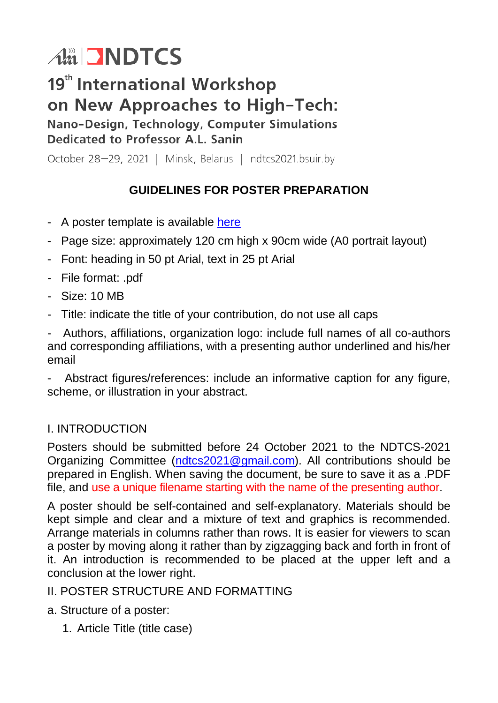# Am NDTCS

# 19<sup>th</sup> International Workshop on New Approaches to High-Tech: Nano-Design, Technology, Computer Simulations

Dedicated to Professor A.L. Sanin

October 28-29, 2021 | Minsk, Belarus | ndtcs2021.bsuir.by

# **GUIDELINES FOR POSTER PREPARATION**

- A poster template is available [here](https://www.bsuir.by/m/12_131348_1_156847.pdf)
- Page size: approximately 120 cm high x 90cm wide (A0 portrait layout)
- Font: heading in 50 pt Arial, text in 25 pt Arial
- File format: .pdf
- Size: 10 MB
- Title: indicate the title of your contribution, do not use all caps

- Authors, affiliations, organization logo: include full names of all co-authors and corresponding affiliations, with a presenting author underlined and his/her email

- Abstract figures/references: include an informative caption for any figure, scheme, or illustration in your abstract.

# I. INTRODUCTION

Posters should be submitted before 24 October 2021 to the NDTCS-2021 Organizing Committee [\(ndtcs2021@gmail.com\)](mailto:ndtcs2021@gmail.com). All contributions should be prepared in English. When saving the document, be sure to save it as a .PDF file, and use a unique filename starting with the name of the presenting author.

A poster should be self-contained and self-explanatory. Materials should be kept simple and clear and a mixture of text and graphics is recommended. Arrange materials in columns rather than rows. It is easier for viewers to scan a poster by moving along it rather than by zigzagging back and forth in front of it. An introduction is recommended to be placed at the upper left and a conclusion at the lower right.

# II. POSTER STRUCTURE AND FORMATTING

- a. Structure of a poster:
	- 1. Article Title (title case)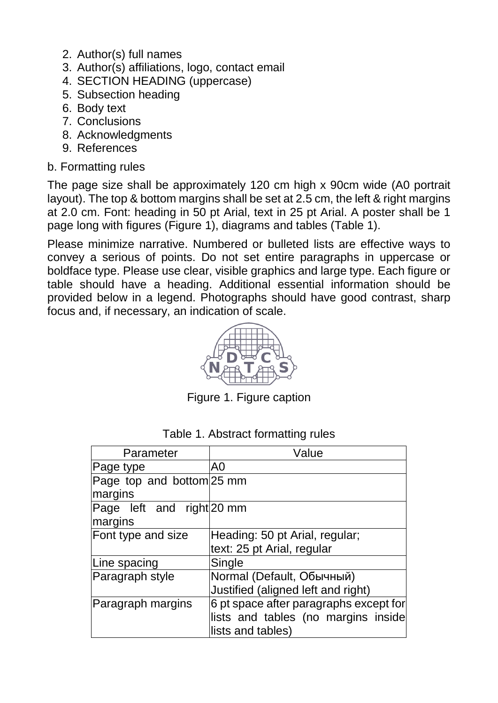- 2. Author(s) full names
- 3. Author(s) affiliations, logo, contact email
- 4. SECTION HEADING (uppercase)
- 5. Subsection heading
- 6. Body text
- 7. Conclusions
- 8. Acknowledgments
- 9. References

#### b. Formatting rules

The page size shall be approximately 120 cm high x 90cm wide (A0 portrait layout). The top & bottom margins shall be set at 2.5 cm, the left & right margins at 2.0 cm. Font: heading in 50 pt Arial, text in 25 pt Arial. A poster shall be 1 page long with figures (Figure 1), diagrams and tables (Table 1).

Please minimize narrative. Numbered or bulleted lists are effective ways to convey a serious of points. Do not set entire paragraphs in uppercase or boldface type. Please use clear, visible graphics and large type. Each figure or table should have a heading. Additional essential information should be provided below in a legend. Photographs should have good contrast, sharp focus and, if necessary, an indication of scale.



Figure 1. Figure caption

| Parameter                 | Value                                  |
|---------------------------|----------------------------------------|
| Page type                 | A0                                     |
| Page top and bottom 25 mm |                                        |
| margins                   |                                        |
| Page left and right 20 mm |                                        |
| margins                   |                                        |
| Font type and size        | Heading: 50 pt Arial, regular;         |
|                           | text: 25 pt Arial, regular             |
| Line spacing              | Single                                 |
| Paragraph style           | Normal (Default, Обычный)              |
|                           | Justified (aligned left and right)     |
| Paragraph margins         | 6 pt space after paragraphs except for |
|                           | lists and tables (no margins inside    |
|                           | lists and tables)                      |

#### Table 1. Abstract formatting rules